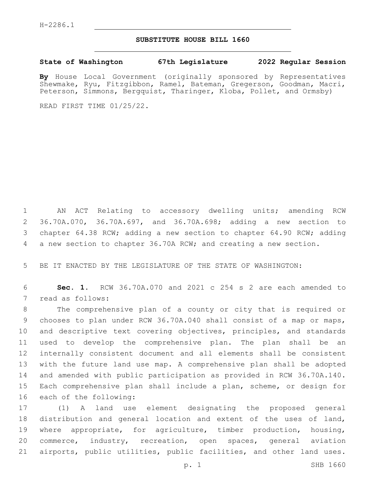## **SUBSTITUTE HOUSE BILL 1660**

**State of Washington 67th Legislature 2022 Regular Session**

**By** House Local Government (originally sponsored by Representatives Shewmake, Ryu, Fitzgibbon, Ramel, Bateman, Gregerson, Goodman, Macri, Peterson, Simmons, Bergquist, Tharinger, Kloba, Pollet, and Ormsby)

READ FIRST TIME 01/25/22.

 AN ACT Relating to accessory dwelling units; amending RCW 36.70A.070, 36.70A.697, and 36.70A.698; adding a new section to chapter 64.38 RCW; adding a new section to chapter 64.90 RCW; adding a new section to chapter 36.70A RCW; and creating a new section.

BE IT ENACTED BY THE LEGISLATURE OF THE STATE OF WASHINGTON:

 **Sec. 1.** RCW 36.70A.070 and 2021 c 254 s 2 are each amended to 7 read as follows:

 The comprehensive plan of a county or city that is required or chooses to plan under RCW 36.70A.040 shall consist of a map or maps, and descriptive text covering objectives, principles, and standards used to develop the comprehensive plan. The plan shall be an internally consistent document and all elements shall be consistent with the future land use map. A comprehensive plan shall be adopted and amended with public participation as provided in RCW 36.70A.140. Each comprehensive plan shall include a plan, scheme, or design for 16 each of the following:

 (1) A land use element designating the proposed general distribution and general location and extent of the uses of land, where appropriate, for agriculture, timber production, housing, commerce, industry, recreation, open spaces, general aviation airports, public utilities, public facilities, and other land uses.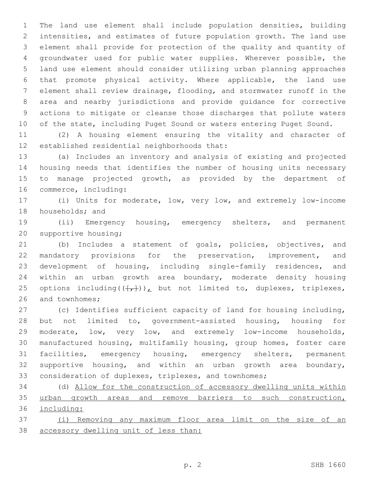The land use element shall include population densities, building intensities, and estimates of future population growth. The land use element shall provide for protection of the quality and quantity of groundwater used for public water supplies. Wherever possible, the land use element should consider utilizing urban planning approaches that promote physical activity. Where applicable, the land use element shall review drainage, flooding, and stormwater runoff in the area and nearby jurisdictions and provide guidance for corrective actions to mitigate or cleanse those discharges that pollute waters of the state, including Puget Sound or waters entering Puget Sound.

 (2) A housing element ensuring the vitality and character of 12 established residential neighborhoods that:

 (a) Includes an inventory and analysis of existing and projected housing needs that identifies the number of housing units necessary 15 to manage projected growth, as provided by the department of 16 commerce, including:

 (i) Units for moderate, low, very low, and extremely low-income 18 households; and

 (ii) Emergency housing, emergency shelters, and permanent 20 supportive housing;

 (b) Includes a statement of goals, policies, objectives, and 22 mandatory provisions for the preservation, improvement, and development of housing, including single-family residences, and within an urban growth area boundary, moderate density housing 25 options including( $(\frac{1}{1},\frac{1}{2})$ ), but not limited to, duplexes, triplexes, 26 and townhomes;

 (c) Identifies sufficient capacity of land for housing including, but not limited to, government-assisted housing, housing for moderate, low, very low, and extremely low-income households, manufactured housing, multifamily housing, group homes, foster care facilities, emergency housing, emergency shelters, permanent supportive housing, and within an urban growth area boundary, consideration of duplexes, triplexes, and townhomes;

 (d) Allow for the construction of accessory dwelling units within urban growth areas and remove barriers to such construction, including:

 (i) Removing any maximum floor area limit on the size of an accessory dwelling unit of less than: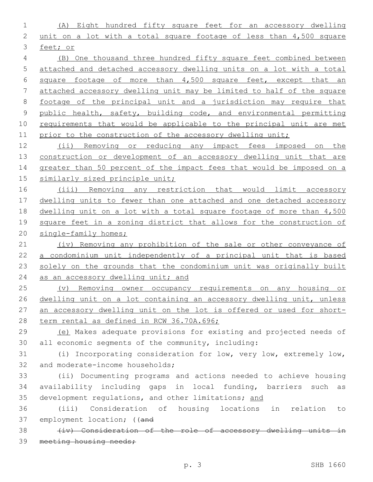(A) Eight hundred fifty square feet for an accessory dwelling unit on a lot with a total square footage of less than 4,500 square feet; or

 (B) One thousand three hundred fifty square feet combined between attached and detached accessory dwelling units on a lot with a total square footage of more than 4,500 square feet, except that an attached accessory dwelling unit may be limited to half of the square footage of the principal unit and a jurisdiction may require that 9 public health, safety, building code, and environmental permitting 10 requirements that would be applicable to the principal unit are met 11 prior to the construction of the accessory dwelling unit;

 (ii) Removing or reducing any impact fees imposed on the 13 construction or development of an accessory dwelling unit that are greater than 50 percent of the impact fees that would be imposed on a 15 similarly sized principle unit;

16 (iii) Removing any restriction that would limit accessory dwelling units to fewer than one attached and one detached accessory dwelling unit on a lot with a total square footage of more than 4,500 19 square feet in a zoning district that allows for the construction of single-family homes;

 (iv) Removing any prohibition of the sale or other conveyance of a condominium unit independently of a principal unit that is based 23 solely on the grounds that the condominium unit was originally built 24 as an accessory dwelling unit; and

 (v) Removing owner occupancy requirements on any housing or dwelling unit on a lot containing an accessory dwelling unit, unless an accessory dwelling unit on the lot is offered or used for short-term rental as defined in RCW 36.70A.696;

 (e) Makes adequate provisions for existing and projected needs of all economic segments of the community, including:

 (i) Incorporating consideration for low, very low, extremely low, 32 and moderate-income households;

 (ii) Documenting programs and actions needed to achieve housing availability including gaps in local funding, barriers such as development regulations, and other limitations; and

 (iii) Consideration of housing locations in relation to 37 employment location; ((and

38 (iv) Consideration of the role of accessory dwelling units in 39 meeting housing needs;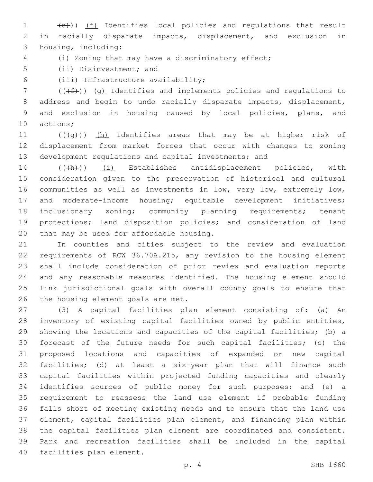1 (e)) (f) Identifies local policies and regulations that result in racially disparate impacts, displacement, and exclusion in housing, including:3

(i) Zoning that may have a discriminatory effect;

5 (ii) Disinvestment; and

(iii) Infrastructure availability;6

7 ( $(\text{+f})$ ) (g) Identifies and implements policies and regulations to address and begin to undo racially disparate impacts, displacement, and exclusion in housing caused by local policies, plans, and 10 actions;

11  $((+q))$  (h) Identifies areas that may be at higher risk of displacement from market forces that occur with changes to zoning development regulations and capital investments; and

14 (( $(\overline{h})$ ) (i) Establishes antidisplacement policies, with consideration given to the preservation of historical and cultural communities as well as investments in low, very low, extremely low, 17 and moderate-income housing; equitable development initiatives; inclusionary zoning; community planning requirements; tenant protections; land disposition policies; and consideration of land 20 that may be used for affordable housing.

 In counties and cities subject to the review and evaluation requirements of RCW 36.70A.215, any revision to the housing element shall include consideration of prior review and evaluation reports and any reasonable measures identified. The housing element should link jurisdictional goals with overall county goals to ensure that 26 the housing element goals are met.

 (3) A capital facilities plan element consisting of: (a) An inventory of existing capital facilities owned by public entities, showing the locations and capacities of the capital facilities; (b) a forecast of the future needs for such capital facilities; (c) the proposed locations and capacities of expanded or new capital facilities; (d) at least a six-year plan that will finance such capital facilities within projected funding capacities and clearly identifies sources of public money for such purposes; and (e) a requirement to reassess the land use element if probable funding falls short of meeting existing needs and to ensure that the land use element, capital facilities plan element, and financing plan within the capital facilities plan element are coordinated and consistent. Park and recreation facilities shall be included in the capital 40 facilities plan element.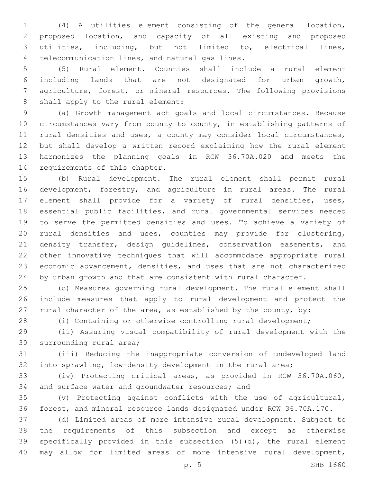(4) A utilities element consisting of the general location, proposed location, and capacity of all existing and proposed utilities, including, but not limited to, electrical lines, 4 telecommunication lines, and natural gas lines.

 (5) Rural element. Counties shall include a rural element including lands that are not designated for urban growth, agriculture, forest, or mineral resources. The following provisions 8 shall apply to the rural element:

 (a) Growth management act goals and local circumstances. Because circumstances vary from county to county, in establishing patterns of rural densities and uses, a county may consider local circumstances, but shall develop a written record explaining how the rural element harmonizes the planning goals in RCW 36.70A.020 and meets the 14 requirements of this chapter.

 (b) Rural development. The rural element shall permit rural development, forestry, and agriculture in rural areas. The rural element shall provide for a variety of rural densities, uses, essential public facilities, and rural governmental services needed to serve the permitted densities and uses. To achieve a variety of rural densities and uses, counties may provide for clustering, 21 density transfer, design guidelines, conservation easements, and other innovative techniques that will accommodate appropriate rural economic advancement, densities, and uses that are not characterized by urban growth and that are consistent with rural character.

 (c) Measures governing rural development. The rural element shall include measures that apply to rural development and protect the rural character of the area, as established by the county, by:

(i) Containing or otherwise controlling rural development;

 (ii) Assuring visual compatibility of rural development with the 30 surrounding rural area;

 (iii) Reducing the inappropriate conversion of undeveloped land into sprawling, low-density development in the rural area;

 (iv) Protecting critical areas, as provided in RCW 36.70A.060, 34 and surface water and groundwater resources; and

 (v) Protecting against conflicts with the use of agricultural, forest, and mineral resource lands designated under RCW 36.70A.170.

 (d) Limited areas of more intensive rural development. Subject to the requirements of this subsection and except as otherwise specifically provided in this subsection (5)(d), the rural element may allow for limited areas of more intensive rural development,

p. 5 SHB 1660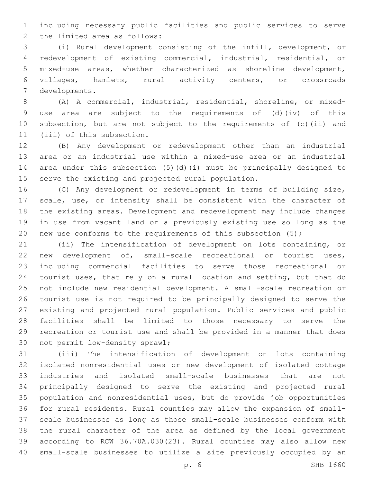including necessary public facilities and public services to serve 2 the limited area as follows:

 (i) Rural development consisting of the infill, development, or redevelopment of existing commercial, industrial, residential, or mixed-use areas, whether characterized as shoreline development, villages, hamlets, rural activity centers, or crossroads developments.7

 (A) A commercial, industrial, residential, shoreline, or mixed- use area are subject to the requirements of (d)(iv) of this subsection, but are not subject to the requirements of (c)(ii) and 11 (iii) of this subsection.

 (B) Any development or redevelopment other than an industrial area or an industrial use within a mixed-use area or an industrial area under this subsection (5)(d)(i) must be principally designed to serve the existing and projected rural population.

 (C) Any development or redevelopment in terms of building size, 17 scale, use, or intensity shall be consistent with the character of the existing areas. Development and redevelopment may include changes in use from vacant land or a previously existing use so long as the 20 new use conforms to the requirements of this subsection (5);

 (ii) The intensification of development on lots containing, or new development of, small-scale recreational or tourist uses, including commercial facilities to serve those recreational or tourist uses, that rely on a rural location and setting, but that do not include new residential development. A small-scale recreation or tourist use is not required to be principally designed to serve the existing and projected rural population. Public services and public facilities shall be limited to those necessary to serve the recreation or tourist use and shall be provided in a manner that does 30 not permit low-density sprawl;

 (iii) The intensification of development on lots containing isolated nonresidential uses or new development of isolated cottage industries and isolated small-scale businesses that are not principally designed to serve the existing and projected rural population and nonresidential uses, but do provide job opportunities for rural residents. Rural counties may allow the expansion of small- scale businesses as long as those small-scale businesses conform with the rural character of the area as defined by the local government according to RCW 36.70A.030(23). Rural counties may also allow new small-scale businesses to utilize a site previously occupied by an

p. 6 SHB 1660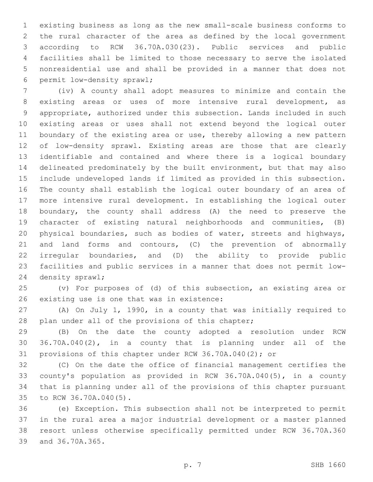existing business as long as the new small-scale business conforms to the rural character of the area as defined by the local government according to RCW 36.70A.030(23). Public services and public facilities shall be limited to those necessary to serve the isolated nonresidential use and shall be provided in a manner that does not 6 permit low-density sprawl;

 (iv) A county shall adopt measures to minimize and contain the existing areas or uses of more intensive rural development, as appropriate, authorized under this subsection. Lands included in such existing areas or uses shall not extend beyond the logical outer boundary of the existing area or use, thereby allowing a new pattern of low-density sprawl. Existing areas are those that are clearly identifiable and contained and where there is a logical boundary delineated predominately by the built environment, but that may also include undeveloped lands if limited as provided in this subsection. The county shall establish the logical outer boundary of an area of more intensive rural development. In establishing the logical outer boundary, the county shall address (A) the need to preserve the character of existing natural neighborhoods and communities, (B) physical boundaries, such as bodies of water, streets and highways, and land forms and contours, (C) the prevention of abnormally irregular boundaries, and (D) the ability to provide public facilities and public services in a manner that does not permit low-24 density sprawl;

 (v) For purposes of (d) of this subsection, an existing area or 26 existing use is one that was in existence:

 (A) On July 1, 1990, in a county that was initially required to 28 plan under all of the provisions of this chapter;

 (B) On the date the county adopted a resolution under RCW 36.70A.040(2), in a county that is planning under all of the provisions of this chapter under RCW 36.70A.040(2); or

 (C) On the date the office of financial management certifies the county's population as provided in RCW 36.70A.040(5), in a county that is planning under all of the provisions of this chapter pursuant 35 to RCW 36.70A.040(5).

 (e) Exception. This subsection shall not be interpreted to permit in the rural area a major industrial development or a master planned resort unless otherwise specifically permitted under RCW 36.70A.360 39 and 36.70A.365.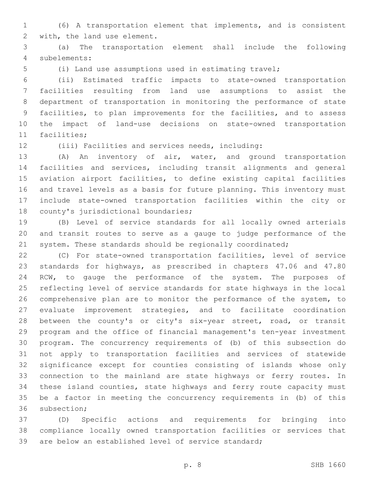(6) A transportation element that implements, and is consistent 2 with, the land use element.

 (a) The transportation element shall include the following subelements:4

(i) Land use assumptions used in estimating travel;

 (ii) Estimated traffic impacts to state-owned transportation facilities resulting from land use assumptions to assist the department of transportation in monitoring the performance of state facilities, to plan improvements for the facilities, and to assess the impact of land-use decisions on state-owned transportation 11 facilities;

(iii) Facilities and services needs, including:

 (A) An inventory of air, water, and ground transportation facilities and services, including transit alignments and general aviation airport facilities, to define existing capital facilities and travel levels as a basis for future planning. This inventory must include state-owned transportation facilities within the city or 18 county's jurisdictional boundaries;

 (B) Level of service standards for all locally owned arterials and transit routes to serve as a gauge to judge performance of the system. These standards should be regionally coordinated;

 (C) For state-owned transportation facilities, level of service standards for highways, as prescribed in chapters 47.06 and 47.80 24 RCW, to gauge the performance of the system. The purposes of reflecting level of service standards for state highways in the local comprehensive plan are to monitor the performance of the system, to evaluate improvement strategies, and to facilitate coordination 28 between the county's or city's six-year street, road, or transit program and the office of financial management's ten-year investment program. The concurrency requirements of (b) of this subsection do not apply to transportation facilities and services of statewide significance except for counties consisting of islands whose only connection to the mainland are state highways or ferry routes. In these island counties, state highways and ferry route capacity must be a factor in meeting the concurrency requirements in (b) of this 36 subsection;

 (D) Specific actions and requirements for bringing into compliance locally owned transportation facilities or services that are below an established level of service standard;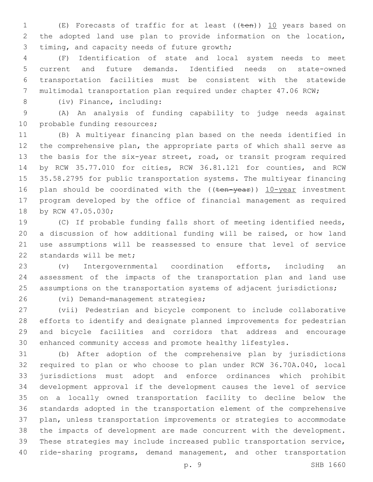(E) Forecasts of traffic for at least ((ten)) 10 years based on the adopted land use plan to provide information on the location, 3 timing, and capacity needs of future growth;

 (F) Identification of state and local system needs to meet current and future demands. Identified needs on state-owned transportation facilities must be consistent with the statewide multimodal transportation plan required under chapter 47.06 RCW;

8 (iv) Finance, including:

 (A) An analysis of funding capability to judge needs against 10 probable funding resources;

 (B) A multiyear financing plan based on the needs identified in the comprehensive plan, the appropriate parts of which shall serve as the basis for the six-year street, road, or transit program required by RCW 35.77.010 for cities, RCW 36.81.121 for counties, and RCW 35.58.2795 for public transportation systems. The multiyear financing 16 plan should be coordinated with the  $((\text{ten}-\text{year}))$  10-year investment program developed by the office of financial management as required 18 by RCW 47.05.030;

 (C) If probable funding falls short of meeting identified needs, a discussion of how additional funding will be raised, or how land use assumptions will be reassessed to ensure that level of service 22 standards will be met;

 (v) Intergovernmental coordination efforts, including an assessment of the impacts of the transportation plan and land use 25 assumptions on the transportation systems of adjacent jurisdictions;

26 (vi) Demand-management strategies;

 (vii) Pedestrian and bicycle component to include collaborative efforts to identify and designate planned improvements for pedestrian and bicycle facilities and corridors that address and encourage enhanced community access and promote healthy lifestyles.

 (b) After adoption of the comprehensive plan by jurisdictions required to plan or who choose to plan under RCW 36.70A.040, local jurisdictions must adopt and enforce ordinances which prohibit development approval if the development causes the level of service on a locally owned transportation facility to decline below the standards adopted in the transportation element of the comprehensive plan, unless transportation improvements or strategies to accommodate the impacts of development are made concurrent with the development. These strategies may include increased public transportation service, ride-sharing programs, demand management, and other transportation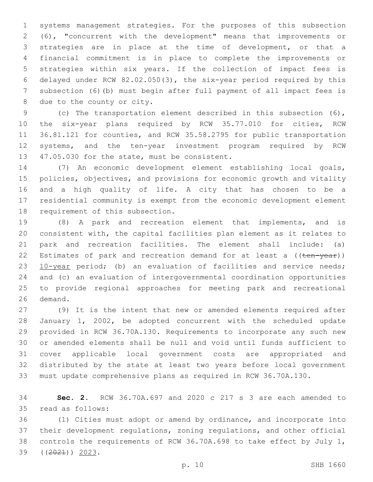systems management strategies. For the purposes of this subsection (6), "concurrent with the development" means that improvements or strategies are in place at the time of development, or that a financial commitment is in place to complete the improvements or strategies within six years. If the collection of impact fees is delayed under RCW 82.02.050(3), the six-year period required by this subsection (6)(b) must begin after full payment of all impact fees is 8 due to the county or city.

 (c) The transportation element described in this subsection (6), the six-year plans required by RCW 35.77.010 for cities, RCW 36.81.121 for counties, and RCW 35.58.2795 for public transportation systems, and the ten-year investment program required by RCW 13 47.05.030 for the state, must be consistent.

 (7) An economic development element establishing local goals, policies, objectives, and provisions for economic growth and vitality and a high quality of life. A city that has chosen to be a residential community is exempt from the economic development element 18 requirement of this subsection.

 (8) A park and recreation element that implements, and is consistent with, the capital facilities plan element as it relates to park and recreation facilities. The element shall include: (a) 22 Estimates of park and recreation demand for at least a ((ten-year)) 23 10-year period; (b) an evaluation of facilities and service needs; and (c) an evaluation of intergovernmental coordination opportunities to provide regional approaches for meeting park and recreational 26 demand.

 (9) It is the intent that new or amended elements required after January 1, 2002, be adopted concurrent with the scheduled update provided in RCW 36.70A.130. Requirements to incorporate any such new or amended elements shall be null and void until funds sufficient to cover applicable local government costs are appropriated and distributed by the state at least two years before local government must update comprehensive plans as required in RCW 36.70A.130.

 **Sec. 2.** RCW 36.70A.697 and 2020 c 217 s 3 are each amended to 35 read as follows:

 (1) Cities must adopt or amend by ordinance, and incorporate into their development regulations, zoning regulations, and other official controls the requirements of RCW 36.70A.698 to take effect by July 1,  $(2021)$   $(2023)$ .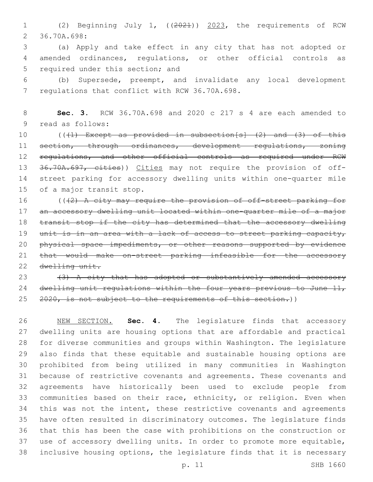1 (2) Beginning July 1, ((2021)) 2023, the requirements of RCW 2 36.70A.698:

3 (a) Apply and take effect in any city that has not adopted or 4 amended ordinances, regulations, or other official controls as 5 required under this section; and

6 (b) Supersede, preempt, and invalidate any local development 7 regulations that conflict with RCW 36.70A.698.

8 **Sec. 3.** RCW 36.70A.698 and 2020 c 217 s 4 are each amended to 9 read as follows:

10 (( $(1)$  Except as provided in subsection[s] (2) and (3) of this 11 section, through ordinances, development regulations, zoning 12 regulations, and other official controls as required under RCW 13 36.70A.697, cities)) Cities may not require the provision of off-14 street parking for accessory dwelling units within one-quarter mile 15 of a major transit stop.

16 (((2) A city may require the provision of off-street parking for 17 an accessory dwelling unit located within one-quarter mile of a major 18 transit stop if the city has determined that the accessory dwelling 19 unit is in an area with a lack of access to street parking capacity, 20 physical space impediments, or other reasons supported by evidence 21 that would make on-street parking infeasible for the accessory 22 dwelling unit.

23 (3) A city that has adopted or substantively amended accessory 24 dwelling unit regulations within the four years previous to June 11, 25 2020, is not subject to the requirements of this section.))

 NEW SECTION. **Sec. 4.** The legislature finds that accessory dwelling units are housing options that are affordable and practical for diverse communities and groups within Washington. The legislature also finds that these equitable and sustainable housing options are prohibited from being utilized in many communities in Washington because of restrictive covenants and agreements. These covenants and agreements have historically been used to exclude people from communities based on their race, ethnicity, or religion. Even when this was not the intent, these restrictive covenants and agreements have often resulted in discriminatory outcomes. The legislature finds that this has been the case with prohibitions on the construction or use of accessory dwelling units. In order to promote more equitable, inclusive housing options, the legislature finds that it is necessary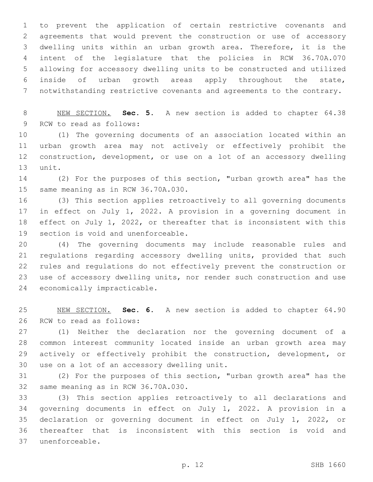to prevent the application of certain restrictive covenants and agreements that would prevent the construction or use of accessory dwelling units within an urban growth area. Therefore, it is the intent of the legislature that the policies in RCW 36.70A.070 allowing for accessory dwelling units to be constructed and utilized inside of urban growth areas apply throughout the state, notwithstanding restrictive covenants and agreements to the contrary.

 NEW SECTION. **Sec. 5.** A new section is added to chapter 64.38 9 RCW to read as follows:

 (1) The governing documents of an association located within an urban growth area may not actively or effectively prohibit the construction, development, or use on a lot of an accessory dwelling 13 unit.

 (2) For the purposes of this section, "urban growth area" has the 15 same meaning as in RCW 36.70A.030.

 (3) This section applies retroactively to all governing documents in effect on July 1, 2022. A provision in a governing document in effect on July 1, 2022, or thereafter that is inconsistent with this 19 section is void and unenforceable.

 (4) The governing documents may include reasonable rules and regulations regarding accessory dwelling units, provided that such rules and regulations do not effectively prevent the construction or use of accessory dwelling units, nor render such construction and use 24 economically impracticable.

 NEW SECTION. **Sec. 6.** A new section is added to chapter 64.90 26 RCW to read as follows:

 (1) Neither the declaration nor the governing document of a common interest community located inside an urban growth area may actively or effectively prohibit the construction, development, or 30 use on a lot of an accessory dwelling unit.

 (2) For the purposes of this section, "urban growth area" has the 32 same meaning as in RCW 36.70A.030.

 (3) This section applies retroactively to all declarations and governing documents in effect on July 1, 2022. A provision in a declaration or governing document in effect on July 1, 2022, or thereafter that is inconsistent with this section is void and unenforceable.37